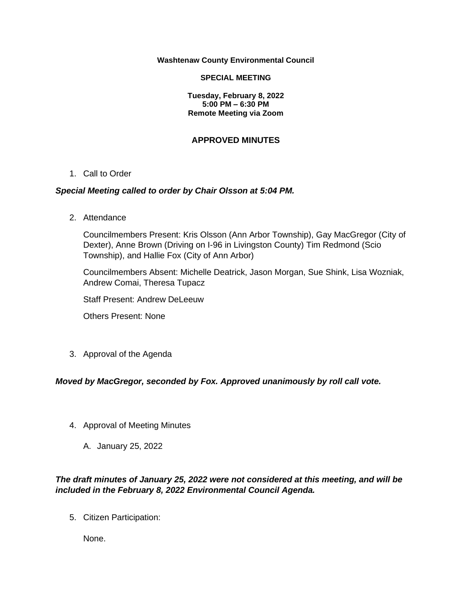#### **Washtenaw County Environmental Council**

#### **SPECIAL MEETING**

**Tuesday, February 8, 2022 5:00 PM – 6:30 PM Remote Meeting via Zoom**

# **APPROVED MINUTES**

## 1. Call to Order

## *Special Meeting called to order by Chair Olsson at 5:04 PM.*

2. Attendance

Councilmembers Present: Kris Olsson (Ann Arbor Township), Gay MacGregor (City of Dexter), Anne Brown (Driving on I-96 in Livingston County) Tim Redmond (Scio Township), and Hallie Fox (City of Ann Arbor)

Councilmembers Absent: Michelle Deatrick, Jason Morgan, Sue Shink, Lisa Wozniak, Andrew Comai, Theresa Tupacz

Staff Present: Andrew DeLeeuw

Others Present: None

3. Approval of the Agenda

# *Moved by MacGregor, seconded by Fox. Approved unanimously by roll call vote.*

- 4. Approval of Meeting Minutes
	- A. January 25, 2022

# *The draft minutes of January 25, 2022 were not considered at this meeting, and will be included in the February 8, 2022 Environmental Council Agenda.*

5. Citizen Participation:

None.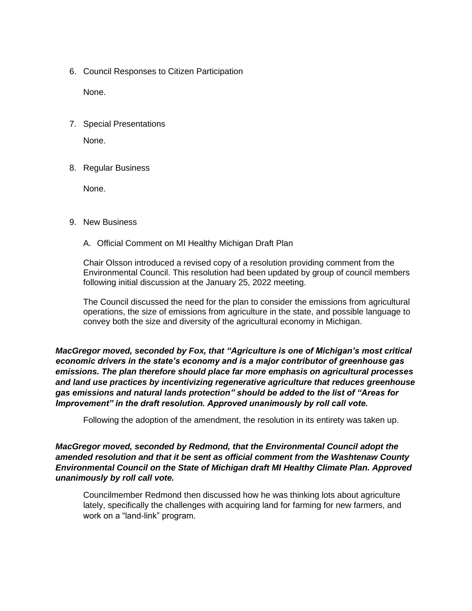6. Council Responses to Citizen Participation

None.

7. Special Presentations

None.

8. Regular Business

None.

# 9. New Business

A. Official Comment on MI Healthy Michigan Draft Plan

Chair Olsson introduced a revised copy of a resolution providing comment from the Environmental Council. This resolution had been updated by group of council members following initial discussion at the January 25, 2022 meeting.

The Council discussed the need for the plan to consider the emissions from agricultural operations, the size of emissions from agriculture in the state, and possible language to convey both the size and diversity of the agricultural economy in Michigan.

*MacGregor moved, seconded by Fox, that "Agriculture is one of Michigan's most critical economic drivers in the state's economy and is a major contributor of greenhouse gas emissions. The plan therefore should place far more emphasis on agricultural processes and land use practices by incentivizing regenerative agriculture that reduces greenhouse gas emissions and natural lands protection" should be added to the list of "Areas for Improvement" in the draft resolution. Approved unanimously by roll call vote.* 

Following the adoption of the amendment, the resolution in its entirety was taken up.

*MacGregor moved, seconded by Redmond, that the Environmental Council adopt the amended resolution and that it be sent as official comment from the Washtenaw County Environmental Council on the State of Michigan draft MI Healthy Climate Plan. Approved unanimously by roll call vote.* 

Councilmember Redmond then discussed how he was thinking lots about agriculture lately, specifically the challenges with acquiring land for farming for new farmers, and work on a "land-link" program.